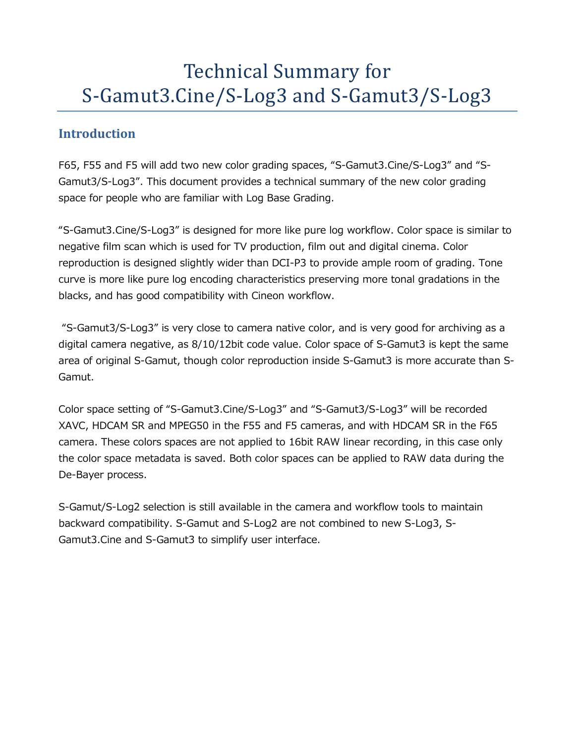# Technical Summary for S-Gamut3.Cine/S-Log3 and S-Gamut3/S-Log3

# **Introduction**

F65, F55 and F5 will add two new color grading spaces, "S-Gamut3.Cine/S-Log3" and "S-Gamut3/S-Log3". This document provides a technical summary of the new color grading space for people who are familiar with Log Base Grading.

"S-Gamut3.Cine/S-Log3" is designed for more like pure log workflow. Color space is similar to negative film scan which is used for TV production, film out and digital cinema. Color reproduction is designed slightly wider than DCI-P3 to provide ample room of grading. Tone curve is more like pure log encoding characteristics preserving more tonal gradations in the blacks, and has good compatibility with Cineon workflow.

"S-Gamut3/S-Log3" is very close to camera native color, and is very good for archiving as a digital camera negative, as 8/10/12bit code value. Color space of S-Gamut3 is kept the same area of original S-Gamut, though color reproduction inside S-Gamut3 is more accurate than S-Gamut.

Color space setting of "S-Gamut3.Cine/S-Log3" and "S-Gamut3/S-Log3" will be recorded XAVC, HDCAM SR and MPEG50 in the F55 and F5 cameras, and with HDCAM SR in the F65 camera. These colors spaces are not applied to 16bit RAW linear recording, in this case only the color space metadata is saved. Both color spaces can be applied to RAW data during the De-Bayer process.

S-Gamut/S-Log2 selection is still available in the camera and workflow tools to maintain backward compatibility. S-Gamut and S-Log2 are not combined to new S-Log3, S-Gamut3.Cine and S-Gamut3 to simplify user interface.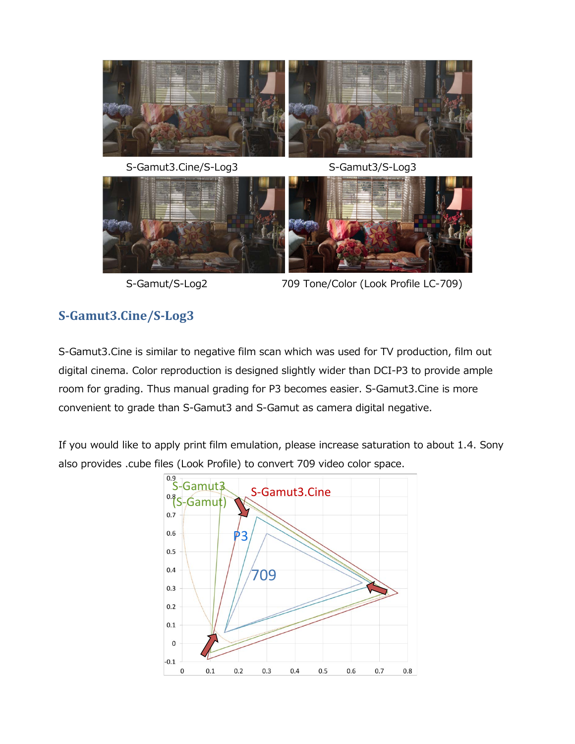

S-Gamut3.Cine/S-Log3 S-Gamut3/S-Log3



S-Gamut/S-Log2 709 Tone/Color (Look Profile LC-709)

# **S-Gamut3.Cine/S-Log3**

S-Gamut3.Cine is similar to negative film scan which was used for TV production, film out digital cinema. Color reproduction is designed slightly wider than DCI-P3 to provide ample room for grading. Thus manual grading for P3 becomes easier. S-Gamut3.Cine is more convenient to grade than S-Gamut3 and S-Gamut as camera digital negative.

If you would like to apply print film emulation, please increase saturation to about 1.4. Sony also provides .cube files (Look Profile) to convert 709 video color space.

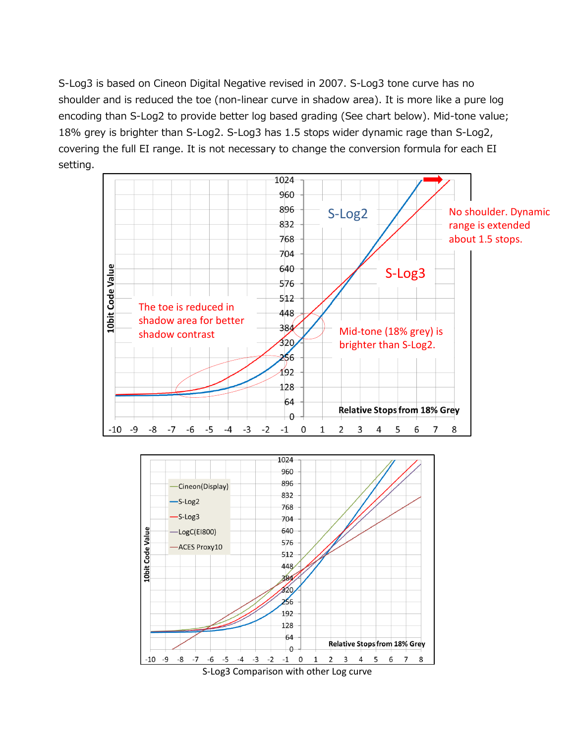S-Log3 is based on Cineon Digital Negative revised in 2007. S-Log3 tone curve has no shoulder and is reduced the toe (non-linear curve in shadow area). It is more like a pure log encoding than S-Log2 to provide better log based grading (See chart below). Mid-tone value; 18% grey is brighter than S-Log2. S-Log3 has 1.5 stops wider dynamic rage than S-Log2, covering the full EI range. It is not necessary to change the conversion formula for each EI setting.



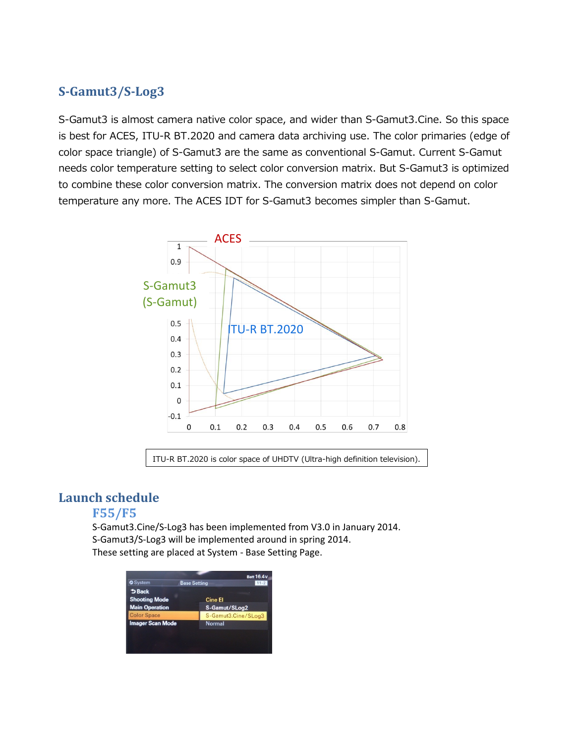# **S-Gamut3/S-Log3**

S-Gamut3 is almost camera native color space, and wider than S-Gamut3.Cine. So this space is best for ACES, ITU-R BT.2020 and camera data archiving use. The color primaries (edge of color space triangle) of S-Gamut3 are the same as conventional S-Gamut. Current S-Gamut needs color temperature setting to select color conversion matrix. But S-Gamut3 is optimized to combine these color conversion matrix. The conversion matrix does not depend on color temperature any more. The ACES IDT for S-Gamut3 becomes simpler than S-Gamut.



ITU-R BT.2020 is color space of UHDTV (Ultra-high definition television).

# **Launch schedule**

#### **F55/F5**

S-Gamut3.Cine/S-Log3 has been implemented from V3.0 in January 2014. S-Gamut3/S-Log3 will be implemented around in spring 2014. These setting are placed at System - Base Setting Page.

|                         |                     | <b>Batt 16.4 V</b> |
|-------------------------|---------------------|--------------------|
| <b>O</b> System         | <b>Base Setting</b> | $11 - 2$           |
| $5$ Back                |                     |                    |
| <b>Shooting Mode</b>    | <b>Cine El</b>      |                    |
| <b>Main Operation</b>   | S-Gamut/SLog2       |                    |
| <b>Color Space</b>      | S-Gamut3.Cine/SLog3 |                    |
| <b>Imager Scan Mode</b> | <b>Normal</b>       |                    |
|                         |                     |                    |
|                         |                     |                    |
|                         |                     |                    |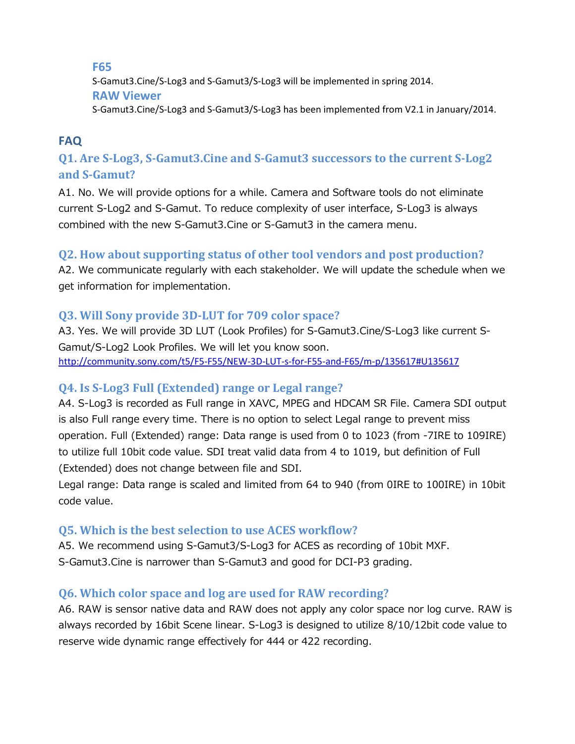**F65** S-Gamut3.Cine/S-Log3 and S-Gamut3/S-Log3 will be implemented in spring 2014. **RAW Viewer** S-Gamut3.Cine/S-Log3 and S-Gamut3/S-Log3 has been implemented from V2.1 in January/2014.

# **FAQ**

# **Q1. Are S-Log3, S-Gamut3.Cine and S-Gamut3 successors to the current S-Log2 and S-Gamut?**

A1. No. We will provide options for a while. Camera and Software tools do not eliminate current S-Log2 and S-Gamut. To reduce complexity of user interface, S-Log3 is always combined with the new S-Gamut3.Cine or S-Gamut3 in the camera menu.

#### **Q2. How about supporting status of other tool vendors and post production?**

A2. We communicate regularly with each stakeholder. We will update the schedule when we get information for implementation.

## **Q3. Will Sony provide 3D-LUT for 709 color space?**

A3. Yes. We will provide 3D LUT (Look Profiles) for S-Gamut3.Cine/S-Log3 like current S-Gamut/S-Log2 Look Profiles. We will let you know soon. [http://community.sony.com/t5/F5-F55/NEW-3D-LUT-s-for-F55-and-F65/m-p/135617#U135617](http://community.sony.com/t5/F5-F55/NEW-3D-LUT-s-for-F55-and-F65/m-p/135617%23U135617)

## **Q4. Is S-Log3 Full (Extended) range or Legal range?**

A4. S-Log3 is recorded as Full range in XAVC, MPEG and HDCAM SR File. Camera SDI output is also Full range every time. There is no option to select Legal range to prevent miss operation. Full (Extended) range: Data range is used from 0 to 1023 (from -7IRE to 109IRE) to utilize full 10bit code value. SDI treat valid data from 4 to 1019, but definition of Full (Extended) does not change between file and SDI.

Legal range: Data range is scaled and limited from 64 to 940 (from 0IRE to 100IRE) in 10bit code value.

#### **Q5. Which is the best selection to use ACES workflow?**

A5. We recommend using S-Gamut3/S-Log3 for ACES as recording of 10bit MXF. S-Gamut3.Cine is narrower than S-Gamut3 and good for DCI-P3 grading.

#### **Q6. Which color space and log are used for RAW recording?**

A6. RAW is sensor native data and RAW does not apply any color space nor log curve. RAW is always recorded by 16bit Scene linear. S-Log3 is designed to utilize 8/10/12bit code value to reserve wide dynamic range effectively for 444 or 422 recording.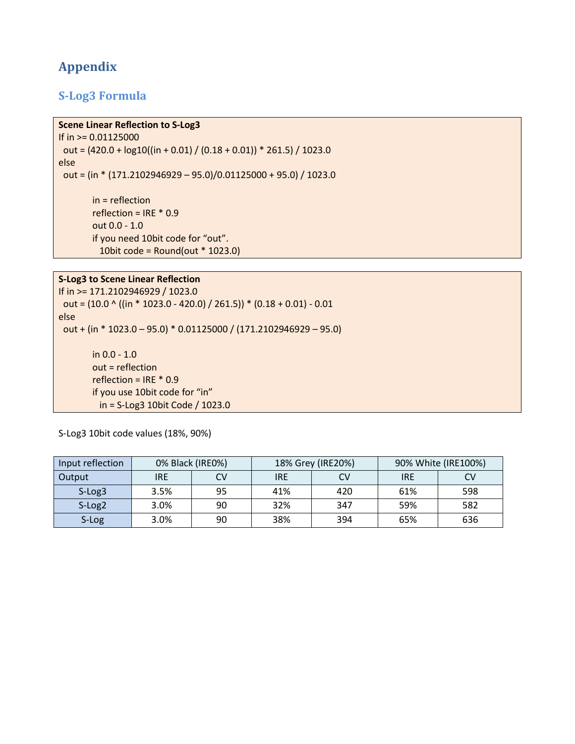# **Appendix**

#### **S-Log3 Formula**

#### **Scene Linear Reflection to S-Log3**

If in >= 0.01125000 out =  $(420.0 + log10((in + 0.01) / (0.18 + 0.01)) * 261.5) / 1023.0$ else out = (in \* (171.2102946929 – 95.0)/0.01125000 + 95.0) / 1023.0

> in = reflection reflection = IRE \* 0.9 out 0.0 - 1.0 if you need 10bit code for "out". 10bit code = Round(out \* 1023.0)

#### **S-Log3 to Scene Linear Reflection**

If in >= 171.2102946929 / 1023.0 out =  $(10.0 \cdot ((in * 1023.0 - 420.0) / 261.5)) * (0.18 + 0.01) - 0.01)$ else out + (in \* 1023.0 – 95.0) \* 0.01125000 / (171.2102946929 – 95.0) in 0.0 - 1.0 out = reflection reflection = IRE \* 0.9 if you use 10bit code for "in" in = S-Log3 10bit Code / 1023.0

S-Log3 10bit code values (18%, 90%)

| Input reflection   | 0% Black (IRE0%) |    |            | 18% Grey (IRE20%) |            | 90% White (IRE100%) |  |
|--------------------|------------------|----|------------|-------------------|------------|---------------------|--|
| Output             | IRE              | CV | <b>IRE</b> | CV                | <b>IRE</b> | CV                  |  |
| $S-Log3$           | 3.5%             | 95 | 41%        | 420               | 61%        | 598                 |  |
| S-Log <sub>2</sub> | 3.0%             | 90 | 32%        | 347               | 59%        | 582                 |  |
| S-Log              | 3.0%             | 90 | 38%        | 394               | 65%        | 636                 |  |